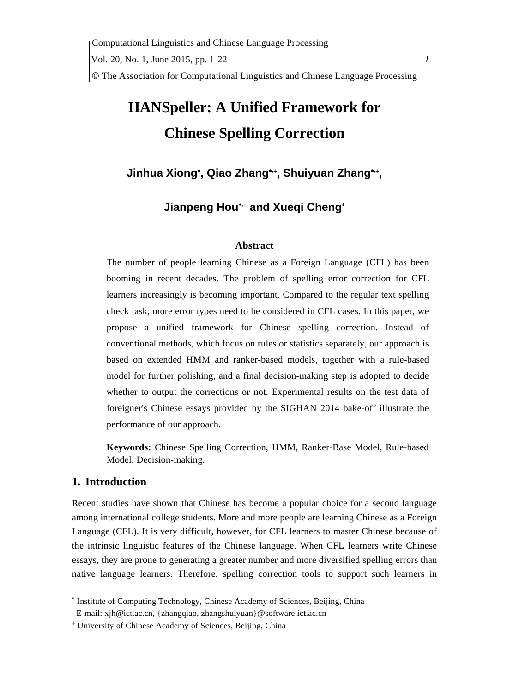# **HANSpeller: A Unified Framework for Chinese Spelling Correction**

Jinhua Xiong<sup>\*</sup>, Qiao Zhang<sup>\*,\*</sup>, Shuiyuan Zhang<sup>\*,\*</sup>,

**Jianpeng Hou, and Xueqi Cheng**

# **Abstract**

The number of people learning Chinese as a Foreign Language (CFL) has been booming in recent decades. The problem of spelling error correction for CFL learners increasingly is becoming important. Compared to the regular text spelling check task, more error types need to be considered in CFL cases. In this paper, we propose a unified framework for Chinese spelling correction. Instead of conventional methods, which focus on rules or statistics separately, our approach is based on extended HMM and ranker-based models, together with a rule-based model for further polishing, and a final decision-making step is adopted to decide whether to output the corrections or not. Experimental results on the test data of foreigner's Chinese essays provided by the SIGHAN 2014 bake-off illustrate the performance of our approach.

**Keywords:** Chinese Spelling Correction, HMM, Ranker-Base Model, Rule-based Model, Decision-making.

# **1. Introduction**

 $\overline{a}$ 

Recent studies have shown that Chinese has become a popular choice for a second language among international college students. More and more people are learning Chinese as a Foreign Language (CFL). It is very difficult, however, for CFL learners to master Chinese because of the intrinsic linguistic features of the Chinese language. When CFL learners write Chinese essays, they are prone to generating a greater number and more diversified spelling errors than native language learners. Therefore, spelling correction tools to support such learners in

<sup>\*</sup> Institute of Computing Technology, Chinese Academy of Sciences, Beijing, China E-mail: xjh@ict.ac.cn, {zhangqiao, zhangshuiyuan}@software.ict.ac.cn

 University of Chinese Academy of Sciences, Beijing, China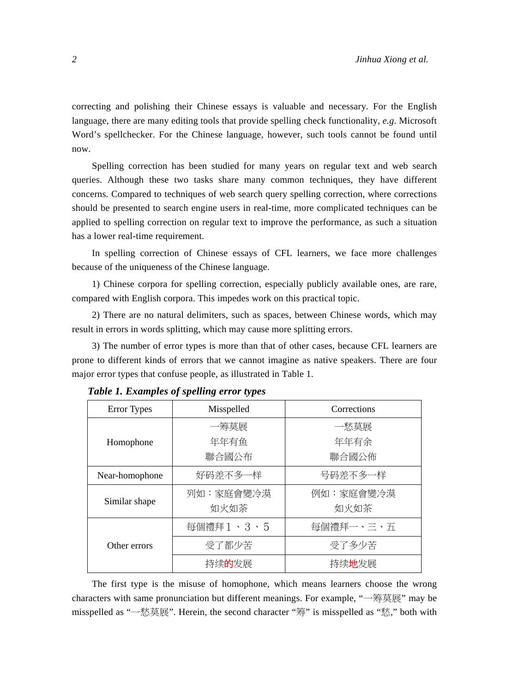correcting and polishing their Chinese essays is valuable and necessary. For the English language, there are many editing tools that provide spelling check functionality, *e.g*. Microsoft Word's spellchecker. For the Chinese language, however, such tools cannot be found until now.

Spelling correction has been studied for many years on regular text and web search queries. Although these two tasks share many common techniques, they have different concerns. Compared to techniques of web search query spelling correction, where corrections should be presented to search engine users in real-time, more complicated techniques can be applied to spelling correction on regular text to improve the performance, as such a situation has a lower real-time requirement.

In spelling correction of Chinese essays of CFL learners, we face more challenges because of the uniqueness of the Chinese language.

1) Chinese corpora for spelling correction, especially publicly available ones, are rare, compared with English corpora. This impedes work on this practical topic.

2) There are no natural delimiters, such as spaces, between Chinese words, which may result in errors in words splitting, which may cause more splitting errors.

3) The number of error types is more than that of other cases, because CFL learners are prone to different kinds of errors that we cannot imagine as native speakers. There are four major error types that confuse people, as illustrated in Table 1.

| <b>Error</b> Types | Misspelled        | Corrections          |  |  |
|--------------------|-------------------|----------------------|--|--|
|                    | 一筹莫展              | 一愁莫展                 |  |  |
| Homophone          | 年年有鱼              | 年年有余                 |  |  |
|                    | 聯合國公布             | 聯合國公佈                |  |  |
| Near-homophone     | 好码差不多一样           | 号码差不多一样              |  |  |
| Similar shape      | 列如:家庭會變冷漠<br>如火如荼 | 例如:家庭會變冷漠<br>如火如茶    |  |  |
|                    | 每個禮拜1、3、5         | 每個禮拜一、三、五            |  |  |
| Other errors       | 受了都少苦             | 受了多少苦                |  |  |
|                    | 持续的发展             | 持续 <mark>地</mark> 发展 |  |  |

*Table 1. Examples of spelling error types* 

The first type is the misuse of homophone, which means learners choose the wrong characters with same pronunciation but different meanings. For example, "一筹莫展" may be misspelled as "一愁莫展". Herein, the second character "筹" is misspelled as "愁," both with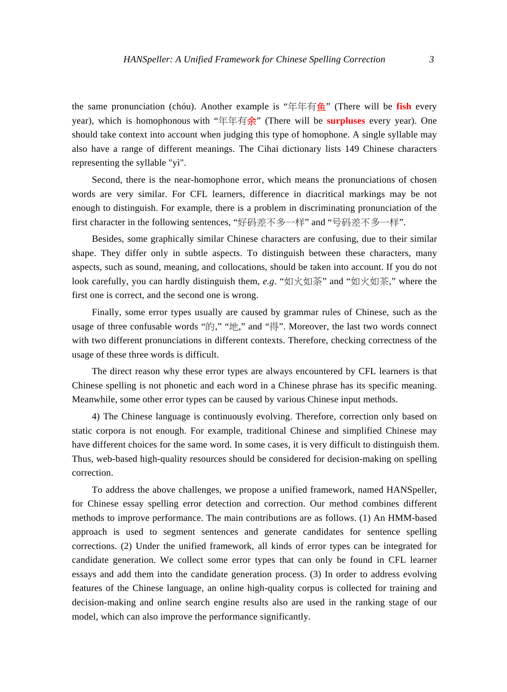the same pronunciation (chóu). Another example is "年年有鱼" (There will be **fish** every year), which is homophonous with "年年有余" (There will be **surpluses** every year). One should take context into account when judging this type of homophone. A single syllable may also have a range of different meanings. The Cihai dictionary lists 149 Chinese characters representing the syllable "yì".

Second, there is the near-homophone error, which means the pronunciations of chosen words are very similar. For CFL learners, difference in diacritical markings may be not enough to distinguish. For example, there is a problem in discriminating pronunciation of the first character in the following sentences, "好码差不多一样" and "号码差不多一样".

Besides, some graphically similar Chinese characters are confusing, due to their similar shape. They differ only in subtle aspects. To distinguish between these characters, many aspects, such as sound, meaning, and collocations, should be taken into account. If you do not look carefully, you can hardly distinguish them, *e.g*. "如火如荼" and "如火如茶," where the first one is correct, and the second one is wrong.

Finally, some error types usually are caused by grammar rules of Chinese, such as the usage of three confusable words "的," "地," and "得". Moreover, the last two words connect with two different pronunciations in different contexts. Therefore, checking correctness of the usage of these three words is difficult.

The direct reason why these error types are always encountered by CFL learners is that Chinese spelling is not phonetic and each word in a Chinese phrase has its specific meaning. Meanwhile, some other error types can be caused by various Chinese input methods.

4) The Chinese language is continuously evolving. Therefore, correction only based on static corpora is not enough. For example, traditional Chinese and simplified Chinese may have different choices for the same word. In some cases, it is very difficult to distinguish them. Thus, web-based high-quality resources should be considered for decision-making on spelling correction.

To address the above challenges, we propose a unified framework, named HANSpeller, for Chinese essay spelling error detection and correction. Our method combines different methods to improve performance. The main contributions are as follows. (1) An HMM-based approach is used to segment sentences and generate candidates for sentence spelling corrections. (2) Under the unified framework, all kinds of error types can be integrated for candidate generation. We collect some error types that can only be found in CFL learner essays and add them into the candidate generation process. (3) In order to address evolving features of the Chinese language, an online high-quality corpus is collected for training and decision-making and online search engine results also are used in the ranking stage of our model, which can also improve the performance significantly.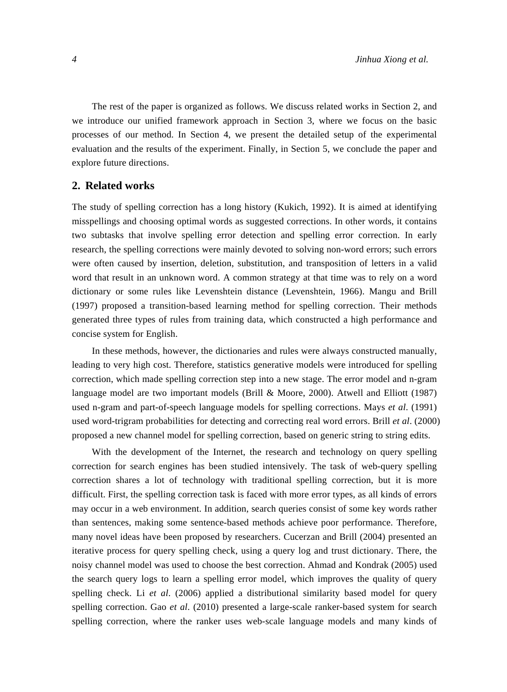The rest of the paper is organized as follows. We discuss related works in Section 2, and we introduce our unified framework approach in Section 3, where we focus on the basic processes of our method. In Section 4, we present the detailed setup of the experimental evaluation and the results of the experiment. Finally, in Section 5, we conclude the paper and explore future directions.

## **2. Related works**

The study of spelling correction has a long history (Kukich, 1992). It is aimed at identifying misspellings and choosing optimal words as suggested corrections. In other words, it contains two subtasks that involve spelling error detection and spelling error correction. In early research, the spelling corrections were mainly devoted to solving non-word errors; such errors were often caused by insertion, deletion, substitution, and transposition of letters in a valid word that result in an unknown word. A common strategy at that time was to rely on a word dictionary or some rules like Levenshtein distance (Levenshtein, 1966). Mangu and Brill (1997) proposed a transition-based learning method for spelling correction. Their methods generated three types of rules from training data, which constructed a high performance and concise system for English.

In these methods, however, the dictionaries and rules were always constructed manually, leading to very high cost. Therefore, statistics generative models were introduced for spelling correction, which made spelling correction step into a new stage. The error model and n-gram language model are two important models (Brill & Moore, 2000). Atwell and Elliott (1987) used n-gram and part-of-speech language models for spelling corrections. Mays *et al*. (1991) used word-trigram probabilities for detecting and correcting real word errors. Brill *et al*. (2000) proposed a new channel model for spelling correction, based on generic string to string edits.

With the development of the Internet, the research and technology on query spelling correction for search engines has been studied intensively. The task of web-query spelling correction shares a lot of technology with traditional spelling correction, but it is more difficult. First, the spelling correction task is faced with more error types, as all kinds of errors may occur in a web environment. In addition, search queries consist of some key words rather than sentences, making some sentence-based methods achieve poor performance. Therefore, many novel ideas have been proposed by researchers. Cucerzan and Brill (2004) presented an iterative process for query spelling check, using a query log and trust dictionary. There, the noisy channel model was used to choose the best correction. Ahmad and Kondrak (2005) used the search query logs to learn a spelling error model, which improves the quality of query spelling check. Li *et al*. (2006) applied a distributional similarity based model for query spelling correction. Gao *et al*. (2010) presented a large-scale ranker-based system for search spelling correction, where the ranker uses web-scale language models and many kinds of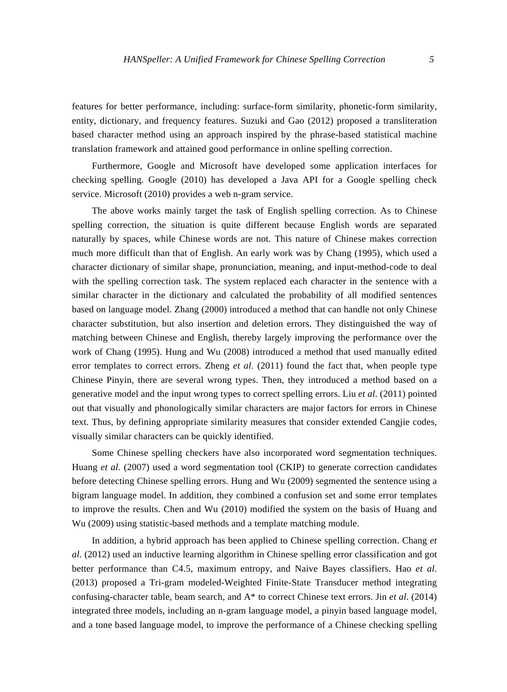features for better performance, including: surface-form similarity, phonetic-form similarity, entity, dictionary, and frequency features. Suzuki and Gao (2012) proposed a transliteration based character method using an approach inspired by the phrase-based statistical machine translation framework and attained good performance in online spelling correction.

Furthermore, Google and Microsoft have developed some application interfaces for checking spelling. Google (2010) has developed a Java API for a Google spelling check service. Microsoft (2010) provides a web n-gram service.

The above works mainly target the task of English spelling correction. As to Chinese spelling correction, the situation is quite different because English words are separated naturally by spaces, while Chinese words are not. This nature of Chinese makes correction much more difficult than that of English. An early work was by Chang (1995), which used a character dictionary of similar shape, pronunciation, meaning, and input-method-code to deal with the spelling correction task. The system replaced each character in the sentence with a similar character in the dictionary and calculated the probability of all modified sentences based on language model. Zhang (2000) introduced a method that can handle not only Chinese character substitution, but also insertion and deletion errors. They distinguished the way of matching between Chinese and English, thereby largely improving the performance over the work of Chang (1995). Hung and Wu (2008) introduced a method that used manually edited error templates to correct errors. Zheng *et al*. (2011) found the fact that, when people type Chinese Pinyin, there are several wrong types. Then, they introduced a method based on a generative model and the input wrong types to correct spelling errors. Liu *et al*. (2011) pointed out that visually and phonologically similar characters are major factors for errors in Chinese text. Thus, by defining appropriate similarity measures that consider extended Cangjie codes, visually similar characters can be quickly identified.

Some Chinese spelling checkers have also incorporated word segmentation techniques. Huang *et al*. (2007) used a word segmentation tool (CKIP) to generate correction candidates before detecting Chinese spelling errors. Hung and Wu (2009) segmented the sentence using a bigram language model. In addition, they combined a confusion set and some error templates to improve the results. Chen and Wu (2010) modified the system on the basis of Huang and Wu (2009) using statistic-based methods and a template matching module.

In addition, a hybrid approach has been applied to Chinese spelling correction. Chang *et al*. (2012) used an inductive learning algorithm in Chinese spelling error classification and got better performance than C4.5, maximum entropy, and Naive Bayes classifiers. Hao *et al*. (2013) proposed a Tri-gram modeled-Weighted Finite-State Transducer method integrating confusing-character table, beam search, and A\* to correct Chinese text errors. Jin *et al*. (2014) integrated three models, including an n-gram language model, a pinyin based language model, and a tone based language model, to improve the performance of a Chinese checking spelling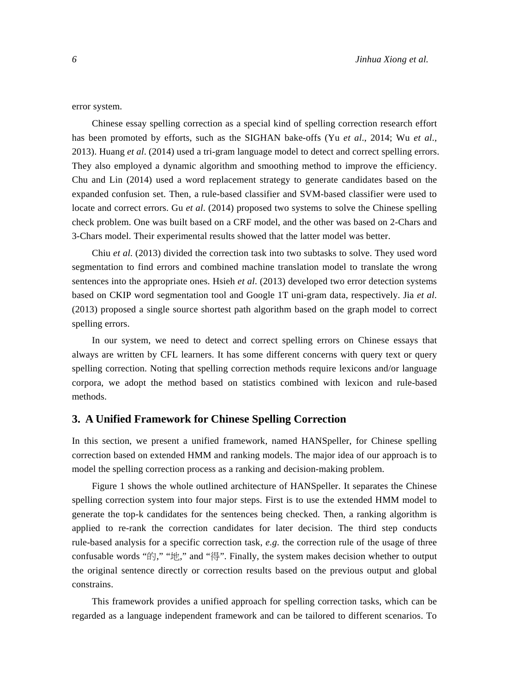error system.

Chinese essay spelling correction as a special kind of spelling correction research effort has been promoted by efforts, such as the SIGHAN bake-offs (Yu *et al*., 2014; Wu *et al*., 2013). Huang *et al*. (2014) used a tri-gram language model to detect and correct spelling errors. They also employed a dynamic algorithm and smoothing method to improve the efficiency. Chu and Lin (2014) used a word replacement strategy to generate candidates based on the expanded confusion set. Then, a rule-based classifier and SVM-based classifier were used to locate and correct errors. Gu *et al*. (2014) proposed two systems to solve the Chinese spelling check problem. One was built based on a CRF model, and the other was based on 2-Chars and 3-Chars model. Their experimental results showed that the latter model was better.

Chiu *et al*. (2013) divided the correction task into two subtasks to solve. They used word segmentation to find errors and combined machine translation model to translate the wrong sentences into the appropriate ones. Hsieh *et al*. (2013) developed two error detection systems based on CKIP word segmentation tool and Google 1T uni-gram data, respectively. Jia *et al*. (2013) proposed a single source shortest path algorithm based on the graph model to correct spelling errors.

In our system, we need to detect and correct spelling errors on Chinese essays that always are written by CFL learners. It has some different concerns with query text or query spelling correction. Noting that spelling correction methods require lexicons and/or language corpora, we adopt the method based on statistics combined with lexicon and rule-based methods.

## **3. A Unified Framework for Chinese Spelling Correction**

In this section, we present a unified framework, named HANSpeller, for Chinese spelling correction based on extended HMM and ranking models. The major idea of our approach is to model the spelling correction process as a ranking and decision-making problem.

Figure 1 shows the whole outlined architecture of HANSpeller. It separates the Chinese spelling correction system into four major steps. First is to use the extended HMM model to generate the top-k candidates for the sentences being checked. Then, a ranking algorithm is applied to re-rank the correction candidates for later decision. The third step conducts rule-based analysis for a specific correction task, *e.g*. the correction rule of the usage of three confusable words "的," "地," and "得". Finally, the system makes decision whether to output the original sentence directly or correction results based on the previous output and global constrains.

This framework provides a unified approach for spelling correction tasks, which can be regarded as a language independent framework and can be tailored to different scenarios. To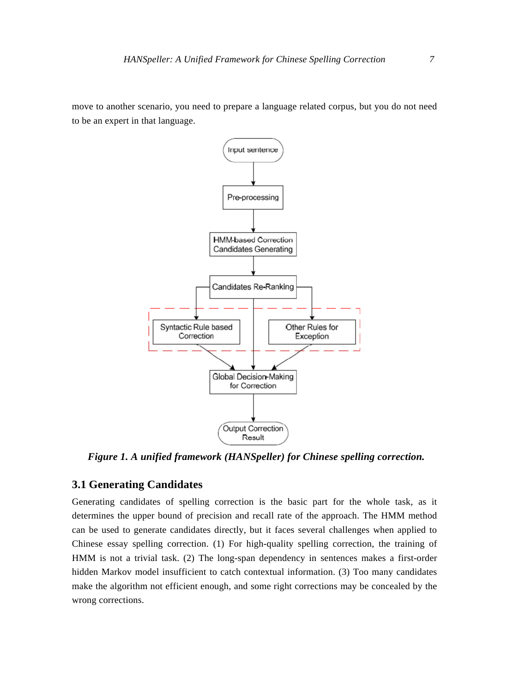move to another scenario, you need to prepare a language related corpus, but you do not need to be an expert in that language.



*Figure 1. A unified framework (HANSpeller) for Chinese spelling correction.* 

## **3.1 Generating Candidates**

Generating candidates of spelling correction is the basic part for the whole task, as it determines the upper bound of precision and recall rate of the approach. The HMM method can be used to generate candidates directly, but it faces several challenges when applied to Chinese essay spelling correction. (1) For high-quality spelling correction, the training of HMM is not a trivial task. (2) The long-span dependency in sentences makes a first-order hidden Markov model insufficient to catch contextual information. (3) Too many candidates make the algorithm not efficient enough, and some right corrections may be concealed by the wrong corrections.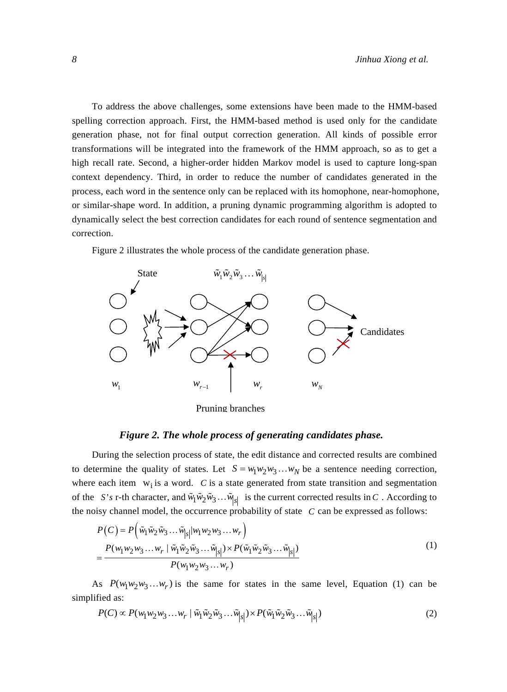To address the above challenges, some extensions have been made to the HMM-based spelling correction approach. First, the HMM-based method is used only for the candidate generation phase, not for final output correction generation. All kinds of possible error transformations will be integrated into the framework of the HMM approach, so as to get a high recall rate. Second, a higher-order hidden Markov model is used to capture long-span context dependency. Third, in order to reduce the number of candidates generated in the process, each word in the sentence only can be replaced with its homophone, near-homophone, or similar-shape word. In addition, a pruning dynamic programming algorithm is adopted to dynamically select the best correction candidates for each round of sentence segmentation and correction.

Figure 2 illustrates the whole process of the candidate generation phase.



Pruning branches

### *Figure 2. The whole process of generating candidates phase.*

During the selection process of state, the edit distance and corrected results are combined to determine the quality of states. Let  $S = w_1 w_2 w_3 ... w_N$  be a sentence needing correction, where each item  $w_i$  is a word. *C* is a state generated from state transition and segmentation of the *S's* r-th character, and  $\tilde{w}_1 \tilde{w}_2 \tilde{w}_3 \dots \tilde{w}_{|S|}$  is the current corrected results in *C*. According to the noisy channel model, the occurrence probability of state *C* can be expressed as follows:

$$
P(C) = P\left(\tilde{w}_1 \tilde{w}_2 \tilde{w}_3 \dots \tilde{w}_{|s|} |w_1 w_2 w_3 \dots w_r\right)
$$
  
= 
$$
\frac{P(w_1 w_2 w_3 \dots w_r | \tilde{w}_1 \tilde{w}_2 \tilde{w}_3 \dots \tilde{w}_{|s|}) \times P(\tilde{w}_1 \tilde{w}_2 \tilde{w}_3 \dots \tilde{w}_{|s|})}{P(w_1 w_2 w_3 \dots w_r)}
$$
 (1)

As  $P(w_1w_2w_3...w_r)$  is the same for states in the same level, Equation (1) can be simplified as:

$$
P(C) \propto P(w_1 w_2 w_3 \dots w_r \mid \tilde{w}_1 \tilde{w}_2 \tilde{w}_3 \dots \tilde{w}_{|s|}) \times P(\tilde{w}_1 \tilde{w}_2 \tilde{w}_3 \dots \tilde{w}_{|s|})
$$
\n<sup>(2)</sup>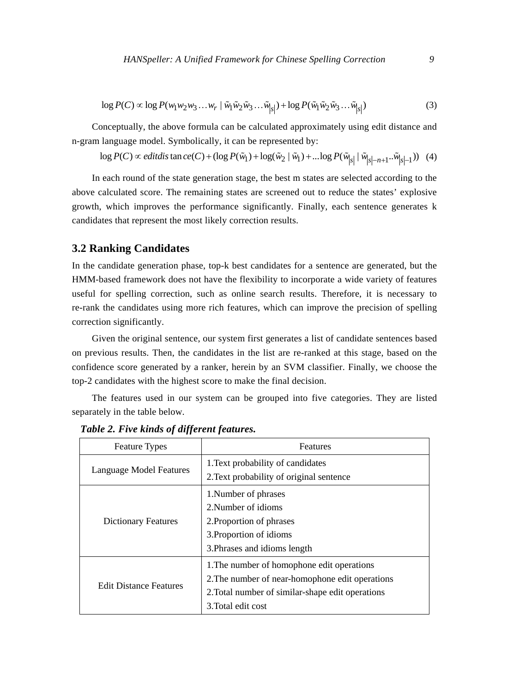$$
\log P(C) \propto \log P(w_1 w_2 w_3 ... w_r \mid \tilde{w}_1 \tilde{w}_2 \tilde{w}_3 ... \tilde{w}_{|s|}) + \log P(\tilde{w}_1 \tilde{w}_2 \tilde{w}_3 ... \tilde{w}_{|s|})
$$
(3)

Conceptually, the above formula can be calculated approximately using edit distance and n-gram language model. Symbolically, it can be represented by:

$$
\log P(C) \propto \text{editdis tan } \text{ce}(C) + (\log P(\tilde{w}_1) + \log(\tilde{w}_2 \mid \tilde{w}_1) + \dots \log P(\tilde{w}_{|S|} \mid \tilde{w}_{|S| - n + 1} \dots \tilde{w}_{|S| - 1})) \tag{4}
$$

In each round of the state generation stage, the best m states are selected according to the above calculated score. The remaining states are screened out to reduce the states' explosive growth, which improves the performance significantly. Finally, each sentence generates k candidates that represent the most likely correction results.

## **3.2 Ranking Candidates**

In the candidate generation phase, top-k best candidates for a sentence are generated, but the HMM-based framework does not have the flexibility to incorporate a wide variety of features useful for spelling correction, such as online search results. Therefore, it is necessary to re-rank the candidates using more rich features, which can improve the precision of spelling correction significantly.

Given the original sentence, our system first generates a list of candidate sentences based on previous results. Then, the candidates in the list are re-ranked at this stage, based on the confidence score generated by a ranker, herein by an SVM classifier. Finally, we choose the top-2 candidates with the highest score to make the final decision.

The features used in our system can be grouped into five categories. They are listed separately in the table below.

| <b>Feature Types</b>          | Features                                         |  |  |
|-------------------------------|--------------------------------------------------|--|--|
| Language Model Features       | 1. Text probability of candidates                |  |  |
|                               | 2. Text probability of original sentence         |  |  |
|                               | 1. Number of phrases                             |  |  |
|                               | 2. Number of idioms                              |  |  |
| <b>Dictionary Features</b>    | 2. Proportion of phrases                         |  |  |
|                               | 3. Proportion of idioms                          |  |  |
|                               | 3. Phrases and idioms length                     |  |  |
|                               | 1. The number of homophone edit operations       |  |  |
| <b>Edit Distance Features</b> | 2. The number of near-homophone edit operations  |  |  |
|                               | 2. Total number of similar-shape edit operations |  |  |
|                               | 3. Total edit cost                               |  |  |

*Table 2. Five kinds of different features.*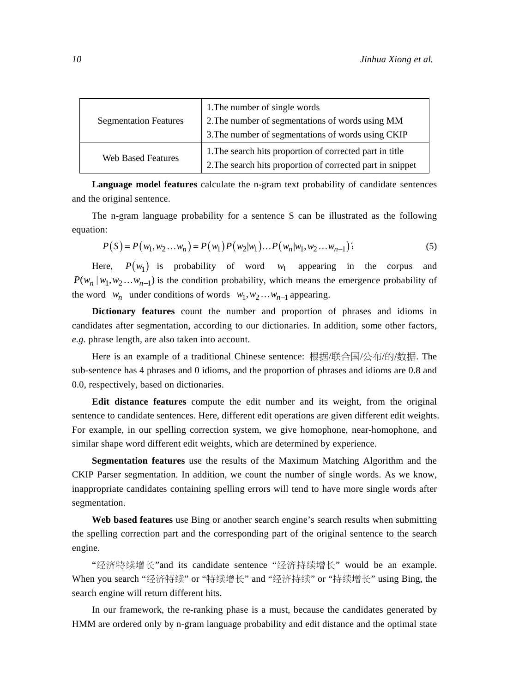| <b>Segmentation Features</b> | 1. The number of single words<br>2. The number of segmentations of words using MM<br>3. The number of segmentations of words using CKIP |
|------------------------------|-----------------------------------------------------------------------------------------------------------------------------------------|
| <b>Web Based Features</b>    | 1. The search hits proportion of corrected part in title<br>2. The search hits proportion of corrected part in snippet                  |

**Language model features** calculate the n-gram text probability of candidate sentences and the original sentence.

The n-gram language probability for a sentence S can be illustrated as the following equation:

$$
P(S) = P(w_1, w_2...w_n) = P(w_1)P(w_2|w_1)...P(w_n|w_1, w_2...w_{n-1})
$$
\n(5)

Here,  $P(w_1)$  is probability of word  $w_1$  appearing in the corpus and  $P(w_n | w_1, w_2...w_{n-1})$  is the condition probability, which means the emergence probability of the word  $w_n$  under conditions of words  $w_1, w_2...w_{n-1}$  appearing.

**Dictionary features** count the number and proportion of phrases and idioms in candidates after segmentation, according to our dictionaries. In addition, some other factors, *e.g*. phrase length, are also taken into account.

Here is an example of a traditional Chinese sentence: 根据/联合国/公布/的/数据. The sub-sentence has 4 phrases and 0 idioms, and the proportion of phrases and idioms are 0.8 and 0.0, respectively, based on dictionaries.

**Edit distance features** compute the edit number and its weight, from the original sentence to candidate sentences. Here, different edit operations are given different edit weights. For example, in our spelling correction system, we give homophone, near-homophone, and similar shape word different edit weights, which are determined by experience.

**Segmentation features** use the results of the Maximum Matching Algorithm and the CKIP Parser segmentation. In addition, we count the number of single words. As we know, inappropriate candidates containing spelling errors will tend to have more single words after segmentation.

**Web based features** use Bing or another search engine's search results when submitting the spelling correction part and the corresponding part of the original sentence to the search engine.

"经济特续增长"and its candidate sentence "经济持续增长" would be an example. When you search "经济特续" or "特续增长" and "经济持续" or "持续增长" using Bing, the search engine will return different hits.

In our framework, the re-ranking phase is a must, because the candidates generated by HMM are ordered only by n-gram language probability and edit distance and the optimal state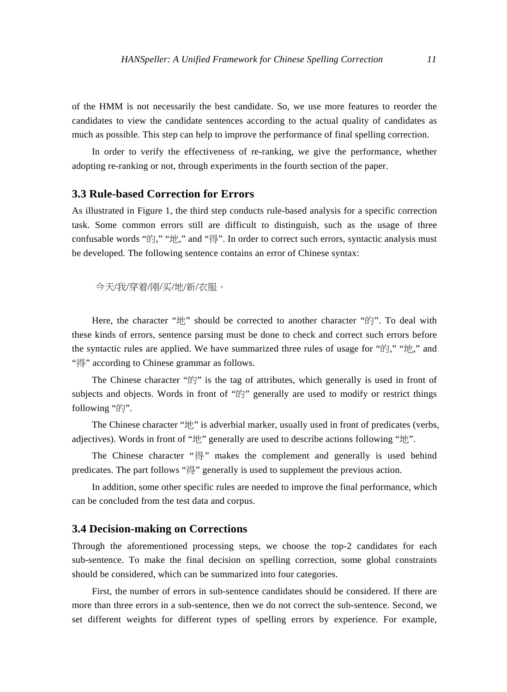of the HMM is not necessarily the best candidate. So, we use more features to reorder the candidates to view the candidate sentences according to the actual quality of candidates as much as possible. This step can help to improve the performance of final spelling correction.

In order to verify the effectiveness of re-ranking, we give the performance, whether adopting re-ranking or not, through experiments in the fourth section of the paper.

# **3.3 Rule-based Correction for Errors**

As illustrated in Figure 1, the third step conducts rule-based analysis for a specific correction task. Some common errors still are difficult to distinguish, such as the usage of three confusable words "的," "地," and "得". In order to correct such errors, syntactic analysis must be developed. The following sentence contains an error of Chinese syntax:

今天/我/穿着/刚/买/地/新/衣服。

Here, the character "地" should be corrected to another character "的". To deal with these kinds of errors, sentence parsing must be done to check and correct such errors before the syntactic rules are applied. We have summarized three rules of usage for "的," "地," and "得" according to Chinese grammar as follows.

The Chinese character " $\sharp \uparrow$ " is the tag of attributes, which generally is used in front of subjects and objects. Words in front of "的" generally are used to modify or restrict things following "的".

The Chinese character "地" is adverbial marker, usually used in front of predicates (verbs, adjectives). Words in front of "地" generally are used to describe actions following "地".

The Chinese character "得" makes the complement and generally is used behind predicates. The part follows "得" generally is used to supplement the previous action.

In addition, some other specific rules are needed to improve the final performance, which can be concluded from the test data and corpus.

## **3.4 Decision-making on Corrections**

Through the aforementioned processing steps, we choose the top-2 candidates for each sub-sentence. To make the final decision on spelling correction, some global constraints should be considered, which can be summarized into four categories.

First, the number of errors in sub-sentence candidates should be considered. If there are more than three errors in a sub-sentence, then we do not correct the sub-sentence. Second, we set different weights for different types of spelling errors by experience. For example,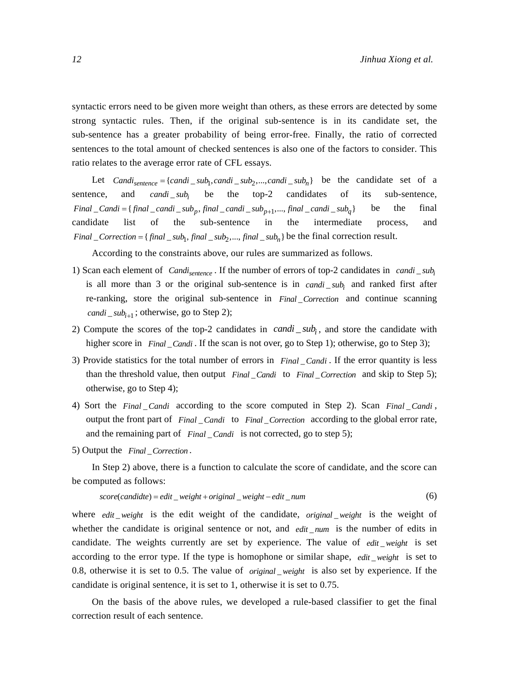syntactic errors need to be given more weight than others, as these errors are detected by some strong syntactic rules. Then, if the original sub-sentence is in its candidate set, the sub-sentence has a greater probability of being error-free. Finally, the ratio of corrected sentences to the total amount of checked sentences is also one of the factors to consider. This ratio relates to the average error rate of CFL essays.

Let  $Candi_{sentence} = \{candi\_sub_1, candi\_sub_2, ..., candi\_sub_n\}$  be the candidate set of a sentence, and *candi* sub<sub>i</sub> be the top-2 candidates of its sub-sentence,  $Final\_Candi = \{ final\_candi\_sub_p, final\_candi\_sub_{p+1}, ..., final\_candi\_sub_q \}$  be the final candidate list of the sub-sentence in the intermediate process, and  $Final\_Correction = \{ final\_sub_1, final\_sub_2, ..., final\_sub_n \}$  be the final correction result.

According to the constraints above, our rules are summarized as follows.

- 1) Scan each element of *Candi*<sub>sentence</sub>. If the number of errors of top-2 candidates in *candi* \_  $sub_i$ is all more than 3 or the original sub-sentence is in  $c$  *candi* \_ *sub<sub>i</sub>* and ranked first after re-ranking, store the original sub-sentence in *Final Correction* and continue scanning *candi*  $\Delta$  *sub*<sub>*i*+1</sub>; otherwise, go to Step 2);
- 2) Compute the scores of the top-2 candidates in  $candi\_sub<sub>i</sub>$ , and store the candidate with higher score in *Final* \_ Candi. If the scan is not over, go to Step 1); otherwise, go to Step 3);
- 3) Provide statistics for the total number of errors in *Final Candi* \_ . If the error quantity is less than the threshold value, then output *Final Candi* to *Final Correction* and skip to Step 5); otherwise, go to Step 4);
- 4) Sort the *Final Candi* according to the score computed in Step 2). Scan *Final Candi*, output the front part of *Final \_Candi* to *Final \_Correction* according to the global error rate, and the remaining part of *Final Candi* is not corrected, go to step 5);
- 5) Output the *Final* \_Correction.

In Step 2) above, there is a function to calculate the score of candidate, and the score can be computed as follows:

$$
score(candide) = edit\_weight + original\_weight - edit\_num
$$
\n(6)

where *edit* weight is the edit weight of the candidate, *original weight* is the weight of whether the candidate is original sentence or not, and *edit num* is the number of edits in candidate. The weights currently are set by experience. The value of *edit weight* is set according to the error type. If the type is homophone or similar shape, *edit weight* is set to 0.8, otherwise it is set to 0.5. The value of *original weight* is also set by experience. If the candidate is original sentence, it is set to 1, otherwise it is set to 0.75.

On the basis of the above rules, we developed a rule-based classifier to get the final correction result of each sentence.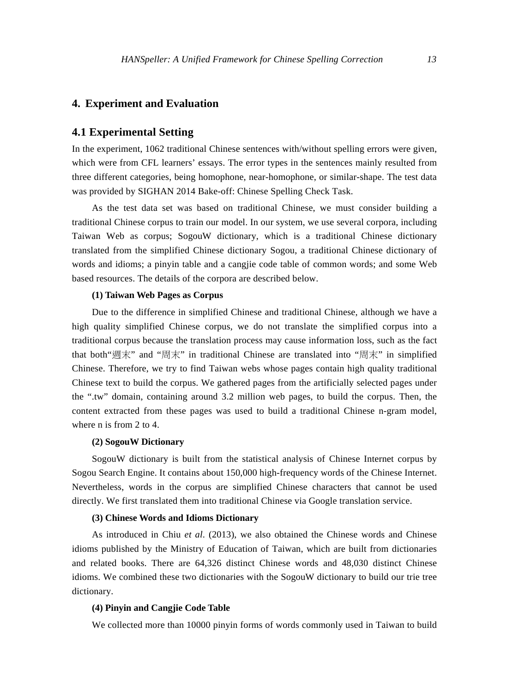## **4. Experiment and Evaluation**

## **4.1 Experimental Setting**

In the experiment, 1062 traditional Chinese sentences with/without spelling errors were given, which were from CFL learners' essays. The error types in the sentences mainly resulted from three different categories, being homophone, near-homophone, or similar-shape. The test data was provided by SIGHAN 2014 Bake-off: Chinese Spelling Check Task.

As the test data set was based on traditional Chinese, we must consider building a traditional Chinese corpus to train our model. In our system, we use several corpora, including Taiwan Web as corpus; SogouW dictionary, which is a traditional Chinese dictionary translated from the simplified Chinese dictionary Sogou, a traditional Chinese dictionary of words and idioms; a pinyin table and a cangjie code table of common words; and some Web based resources. The details of the corpora are described below.

#### **(1) Taiwan Web Pages as Corpus**

Due to the difference in simplified Chinese and traditional Chinese, although we have a high quality simplified Chinese corpus, we do not translate the simplified corpus into a traditional corpus because the translation process may cause information loss, such as the fact that both"週末" and "周末" in traditional Chinese are translated into "周末" in simplified Chinese. Therefore, we try to find Taiwan webs whose pages contain high quality traditional Chinese text to build the corpus. We gathered pages from the artificially selected pages under the ".tw" domain, containing around 3.2 million web pages, to build the corpus. Then, the content extracted from these pages was used to build a traditional Chinese n-gram model, where n is from 2 to 4.

#### **(2) SogouW Dictionary**

SogouW dictionary is built from the statistical analysis of Chinese Internet corpus by Sogou Search Engine. It contains about 150,000 high-frequency words of the Chinese Internet. Nevertheless, words in the corpus are simplified Chinese characters that cannot be used directly. We first translated them into traditional Chinese via Google translation service.

### **(3) Chinese Words and Idioms Dictionary**

As introduced in Chiu *et al*. (2013), we also obtained the Chinese words and Chinese idioms published by the Ministry of Education of Taiwan, which are built from dictionaries and related books. There are 64,326 distinct Chinese words and 48,030 distinct Chinese idioms. We combined these two dictionaries with the SogouW dictionary to build our trie tree dictionary.

## **(4) Pinyin and Cangjie Code Table**

We collected more than 10000 pinyin forms of words commonly used in Taiwan to build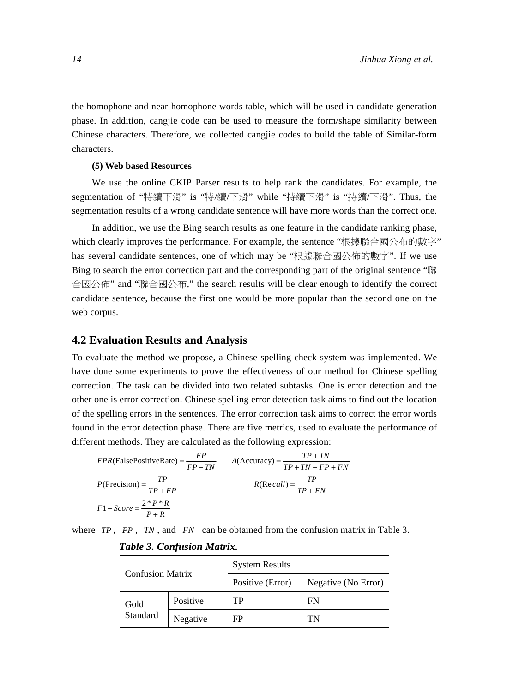the homophone and near-homophone words table, which will be used in candidate generation phase. In addition, cangjie code can be used to measure the form/shape similarity between Chinese characters. Therefore, we collected cangjie codes to build the table of Similar-form characters.

#### **(5) Web based Resources**

We use the online CKIP Parser results to help rank the candidates. For example, the segmentation of "特續下滑" is "特/續/下滑" while "持續下滑" is "持續/下滑". Thus, the segmentation results of a wrong candidate sentence will have more words than the correct one.

In addition, we use the Bing search results as one feature in the candidate ranking phase, which clearly improves the performance. For example, the sentence "根據聯合國公布的數字" has several candidate sentences, one of which may be "根據聯合國公佈的數字". If we use Bing to search the error correction part and the corresponding part of the original sentence "聯 合國公佈" and "聯合國公布," the search results will be clear enough to identify the correct candidate sentence, because the first one would be more popular than the second one on the web corpus.

## **4.2 Evaluation Results and Analysis**

To evaluate the method we propose, a Chinese spelling check system was implemented. We have done some experiments to prove the effectiveness of our method for Chinese spelling correction. The task can be divided into two related subtasks. One is error detection and the other one is error correction. Chinese spelling error detection task aims to find out the location of the spelling errors in the sentences. The error correction task aims to correct the error words found in the error detection phase. There are five metrics, used to evaluate the performance of different methods. They are calculated as the following expression:

$$
FPR(FalsePositiveRate) = \frac{FP}{FP + TN}
$$
  
\n
$$
A(Accuracy) = \frac{TP + TN}{TP + TN + FP + FN}
$$
  
\n
$$
P(Precision) = \frac{TP}{TP + FP}
$$
  
\n
$$
R(Recall) = \frac{TP}{TP + FN}
$$
  
\n
$$
F1 - Score = \frac{2*P*R}{P+R}
$$

where *TP* , *FP* , *TN* , and *FN* can be obtained from the confusion matrix in Table 3.

| <b>Confusion Matrix</b> |          | <b>System Results</b> |                     |  |  |
|-------------------------|----------|-----------------------|---------------------|--|--|
|                         |          | Positive (Error)      | Negative (No Error) |  |  |
| Gold                    | Positive | TP                    | FN                  |  |  |
| Standard                | Negative | FP                    | TN                  |  |  |

## *Table 3. Confusion Matrix.*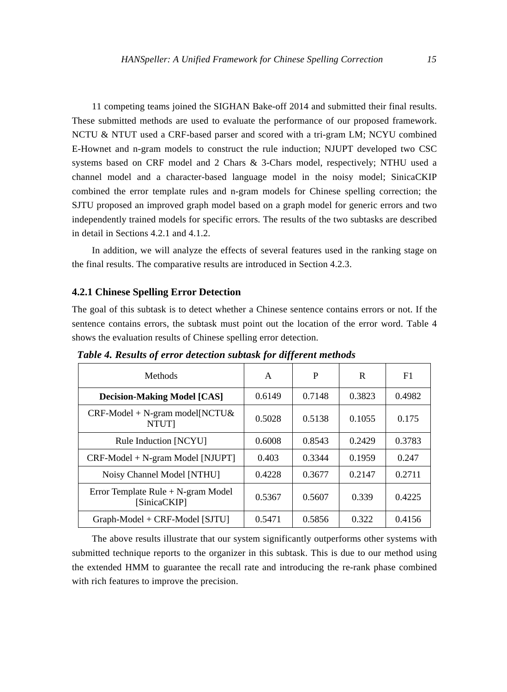11 competing teams joined the SIGHAN Bake-off 2014 and submitted their final results. These submitted methods are used to evaluate the performance of our proposed framework. NCTU & NTUT used a CRF-based parser and scored with a tri-gram LM; NCYU combined E-Hownet and n-gram models to construct the rule induction; NJUPT developed two CSC systems based on CRF model and 2 Chars & 3-Chars model, respectively; NTHU used a channel model and a character-based language model in the noisy model; SinicaCKIP combined the error template rules and n-gram models for Chinese spelling correction; the SJTU proposed an improved graph model based on a graph model for generic errors and two independently trained models for specific errors. The results of the two subtasks are described in detail in Sections 4.2.1 and 4.1.2.

In addition, we will analyze the effects of several features used in the ranking stage on the final results. The comparative results are introduced in Section 4.2.3.

#### **4.2.1 Chinese Spelling Error Detection**

The goal of this subtask is to detect whether a Chinese sentence contains errors or not. If the sentence contains errors, the subtask must point out the location of the error word. Table 4 shows the evaluation results of Chinese spelling error detection.

| Methods                                                                  | A      | P      | R      | F1     |
|--------------------------------------------------------------------------|--------|--------|--------|--------|
| <b>Decision-Making Model [CAS]</b>                                       | 0.6149 | 0.7148 | 0.3823 | 0.4982 |
| $CRF\text{-}Model + N\text{-}gram \text{ model} [NCTU\&$<br><b>NTUTI</b> | 0.5028 | 0.5138 | 0.1055 | 0.175  |
| Rule Induction [NCYU]                                                    | 0.6008 | 0.8543 | 0.2429 | 0.3783 |
| $CRF\text{-}Model + N\text{-gram Model}$ [NJUPT]                         | 0.403  | 0.3344 | 0.1959 | 0.247  |
| Noisy Channel Model [NTHU]                                               | 0.4228 | 0.3677 | 0.2147 | 0.2711 |
| Error Template Rule + N-gram Model<br>[SinicaCKIP]                       | 0.5367 | 0.5607 | 0.339  | 0.4225 |
| Graph-Model + CRF-Model [SJTU]                                           | 0.5471 | 0.5856 | 0.322  | 0.4156 |

*Table 4. Results of error detection subtask for different methods* 

The above results illustrate that our system significantly outperforms other systems with submitted technique reports to the organizer in this subtask. This is due to our method using the extended HMM to guarantee the recall rate and introducing the re-rank phase combined with rich features to improve the precision.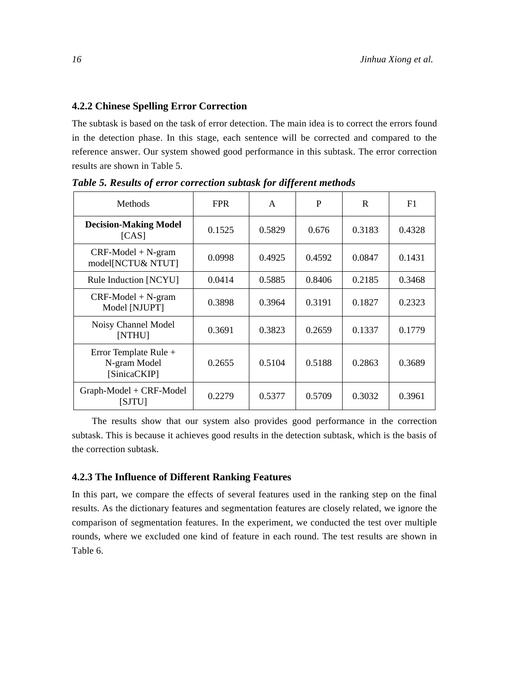# **4.2.2 Chinese Spelling Error Correction**

The subtask is based on the task of error detection. The main idea is to correct the errors found in the detection phase. In this stage, each sentence will be corrected and compared to the reference answer. Our system showed good performance in this subtask. The error correction results are shown in Table 5.

| Methods                                               | <b>FPR</b> | A      | P      | R      | F1     |
|-------------------------------------------------------|------------|--------|--------|--------|--------|
| <b>Decision-Making Model</b><br>[CAS]                 | 0.1525     | 0.5829 | 0.676  | 0.3183 | 0.4328 |
| $CRF\text{-}Model + N-gram$<br>model[NCTU& NTUT]      | 0.0998     | 0.4925 | 0.4592 | 0.0847 | 0.1431 |
| Rule Induction [NCYU]                                 | 0.0414     | 0.5885 | 0.8406 | 0.2185 | 0.3468 |
| $CRF-Model + N-gram$<br>Model [NJUPT]                 | 0.3898     | 0.3964 | 0.3191 | 0.1827 | 0.2323 |
| Noisy Channel Model<br>[NTHU]                         | 0.3691     | 0.3823 | 0.2659 | 0.1337 | 0.1779 |
| Error Template Rule +<br>N-gram Model<br>[SinicaCKIP] | 0.2655     | 0.5104 | 0.5188 | 0.2863 | 0.3689 |
| Graph-Model + CRF-Model<br><b>SJTUI</b>               | 0.2279     | 0.5377 | 0.5709 | 0.3032 | 0.3961 |

*Table 5. Results of error correction subtask for different methods* 

The results show that our system also provides good performance in the correction subtask. This is because it achieves good results in the detection subtask, which is the basis of the correction subtask.

# **4.2.3 The Influence of Different Ranking Features**

In this part, we compare the effects of several features used in the ranking step on the final results. As the dictionary features and segmentation features are closely related, we ignore the comparison of segmentation features. In the experiment, we conducted the test over multiple rounds, where we excluded one kind of feature in each round. The test results are shown in Table 6.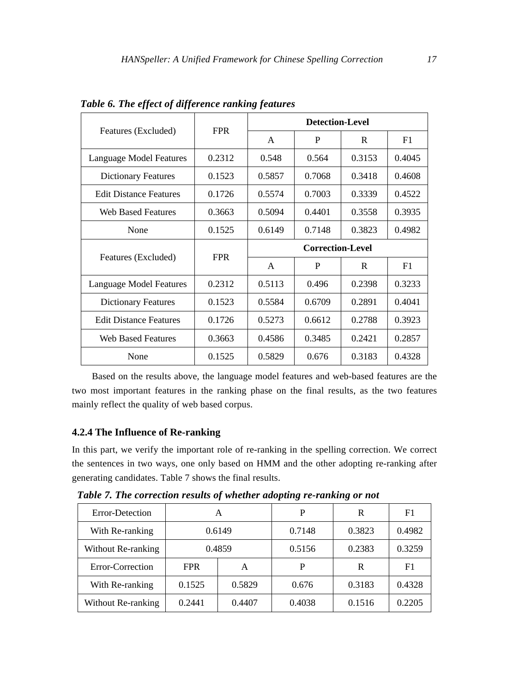| Features (Excluded)           | <b>FPR</b> | <b>Detection-Level</b> |                         |        |        |
|-------------------------------|------------|------------------------|-------------------------|--------|--------|
|                               |            | A                      | P                       | R      | F1     |
| Language Model Features       | 0.2312     | 0.548                  | 0.564                   | 0.3153 | 0.4045 |
| <b>Dictionary Features</b>    | 0.1523     | 0.5857                 | 0.7068                  | 0.3418 | 0.4608 |
| <b>Edit Distance Features</b> | 0.1726     | 0.5574                 | 0.7003                  | 0.3339 | 0.4522 |
| <b>Web Based Features</b>     | 0.3663     | 0.5094                 | 0.4401                  | 0.3558 | 0.3935 |
| None                          | 0.1525     | 0.6149                 | 0.7148                  | 0.3823 | 0.4982 |
|                               |            |                        |                         |        |        |
|                               |            |                        | <b>Correction-Level</b> |        |        |
| Features (Excluded)           | <b>FPR</b> | A                      | P                       | R      | F1     |
| Language Model Features       | 0.2312     | 0.5113                 | 0.496                   | 0.2398 | 0.3233 |
| <b>Dictionary Features</b>    | 0.1523     | 0.5584                 | 0.6709                  | 0.2891 | 0.4041 |
| <b>Edit Distance Features</b> | 0.1726     | 0.5273                 | 0.6612                  | 0.2788 | 0.3923 |
| <b>Web Based Features</b>     | 0.3663     | 0.4586                 | 0.3485                  | 0.2421 | 0.2857 |

*Table 6. The effect of difference ranking features* 

Based on the results above, the language model features and web-based features are the two most important features in the ranking phase on the final results, as the two features mainly reflect the quality of web based corpus.

# **4.2.4 The Influence of Re-ranking**

In this part, we verify the important role of re-ranking in the spelling correction. We correct the sentences in two ways, one only based on HMM and the other adopting re-ranking after generating candidates. Table 7 shows the final results.

*Table 7. The correction results of whether adopting re-ranking or not* 

| Error-Detection    | А                |        | P      | R      | F <sub>1</sub> |
|--------------------|------------------|--------|--------|--------|----------------|
| With Re-ranking    | 0.6149           |        | 0.7148 | 0.3823 | 0.4982         |
| Without Re-ranking | 0.4859           |        | 0.5156 | 0.2383 | 0.3259         |
| Error-Correction   | <b>FPR</b>       | A      | P      | R      | F1             |
| With Re-ranking    | 0.1525           | 0.5829 | 0.676  | 0.3183 | 0.4328         |
| Without Re-ranking | 0.2441<br>0.4407 |        | 0.4038 | 0.1516 | 0.2205         |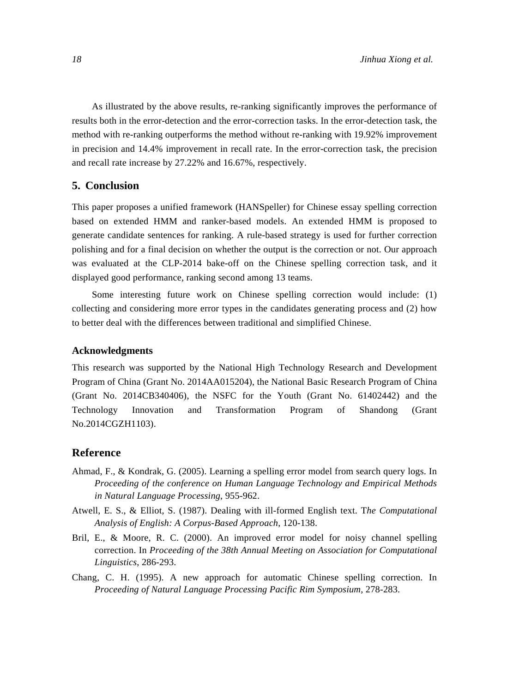As illustrated by the above results, re-ranking significantly improves the performance of results both in the error-detection and the error-correction tasks. In the error-detection task, the method with re-ranking outperforms the method without re-ranking with 19.92% improvement in precision and 14.4% improvement in recall rate. In the error-correction task, the precision and recall rate increase by 27.22% and 16.67%, respectively.

# **5. Conclusion**

This paper proposes a unified framework (HANSpeller) for Chinese essay spelling correction based on extended HMM and ranker-based models. An extended HMM is proposed to generate candidate sentences for ranking. A rule-based strategy is used for further correction polishing and for a final decision on whether the output is the correction or not. Our approach was evaluated at the CLP-2014 bake-off on the Chinese spelling correction task, and it displayed good performance, ranking second among 13 teams.

Some interesting future work on Chinese spelling correction would include: (1) collecting and considering more error types in the candidates generating process and (2) how to better deal with the differences between traditional and simplified Chinese.

### **Acknowledgments**

This research was supported by the National High Technology Research and Development Program of China (Grant No. 2014AA015204), the National Basic Research Program of China (Grant No. 2014CB340406), the NSFC for the Youth (Grant No. 61402442) and the Technology Innovation and Transformation Program of Shandong (Grant No.2014CGZH1103).

## **Reference**

- Ahmad, F., & Kondrak, G. (2005). Learning a spelling error model from search query logs. In *Proceeding of the conference on Human Language Technology and Empirical Methods in Natural Language Processing*, 955-962.
- Atwell, E. S., & Elliot, S. (1987). Dealing with ill-formed English text. T*he Computational Analysis of English: A Corpus-Based Approach*, 120-138.
- Bril, E., & Moore, R. C. (2000). An improved error model for noisy channel spelling correction. In *Proceeding of the 38th Annual Meeting on Association for Computational Linguistics*, 286-293.
- Chang, C. H. (1995). A new approach for automatic Chinese spelling correction. In *Proceeding of Natural Language Processing Pacific Rim Symposium*, 278-283.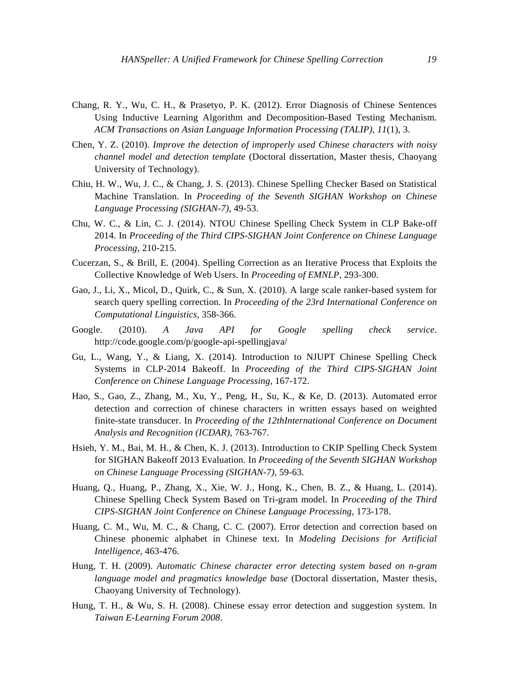- Chang, R. Y., Wu, C. H., & Prasetyo, P. K. (2012). Error Diagnosis of Chinese Sentences Using Inductive Learning Algorithm and Decomposition-Based Testing Mechanism. *ACM Transactions on Asian Language Information Processing (TALIP)*, *11*(1), 3.
- Chen, Y. Z. (2010). *Improve the detection of improperly used Chinese characters with noisy channel model and detection template* (Doctoral dissertation, Master thesis, Chaoyang University of Technology).
- Chiu, H. W., Wu, J. C., & Chang, J. S. (2013). Chinese Spelling Checker Based on Statistical Machine Translation. In *Proceeding of the Seventh SIGHAN Workshop on Chinese Language Processing (SIGHAN-7)*, 49-53.
- Chu, W. C., & Lin, C. J. (2014). NTOU Chinese Spelling Check System in CLP Bake-off 2014. In *Proceeding of the Third CIPS-SIGHAN Joint Conference on Chinese Language Processing*, 210-215.
- Cucerzan, S., & Brill, E. (2004). Spelling Correction as an Iterative Process that Exploits the Collective Knowledge of Web Users. In *Proceeding of EMNLP*, 293-300.
- Gao, J., Li, X., Micol, D., Quirk, C., & Sun, X. (2010). A large scale ranker-based system for search query spelling correction. In *Proceeding of the 23rd International Conference on Computational Linguistics,* 358-366.
- Google. (2010). *A Java API for Google spelling check service*. http://code.google.com/p/google-api-spellingjava/
- Gu, L., Wang, Y., & Liang, X. (2014). Introduction to NJUPT Chinese Spelling Check Systems in CLP-2014 Bakeoff. In *Proceeding of the Third CIPS-SIGHAN Joint Conference on Chinese Language Processing*, 167-172.
- Hao, S., Gao, Z., Zhang, M., Xu, Y., Peng, H., Su, K., & Ke, D. (2013). Automated error detection and correction of chinese characters in written essays based on weighted finite-state transducer. In *Proceeding of the 12thInternational Conference on Document Analysis and Recognition (ICDAR)*, 763-767.
- Hsieh, Y. M., Bai, M. H., & Chen, K. J. (2013). Introduction to CKIP Spelling Check System for SIGHAN Bakeoff 2013 Evaluation. In *Proceeding of the Seventh SIGHAN Workshop on Chinese Language Processing (SIGHAN-7)*, 59-63.
- Huang, Q., Huang, P., Zhang, X., Xie, W. J., Hong, K., Chen, B. Z., & Huang, L. (2014). Chinese Spelling Check System Based on Tri-gram model. In *Proceeding of the Third CIPS-SIGHAN Joint Conference on Chinese Language Processing*, 173-178.
- Huang, C. M., Wu, M. C., & Chang, C. C. (2007). Error detection and correction based on Chinese phonemic alphabet in Chinese text. In *Modeling Decisions for Artificial Intelligence*, 463-476.
- Hung, T. H. (2009). *Automatic Chinese character error detecting system based on n-gram language model and pragmatics knowledge base* (Doctoral dissertation, Master thesis, Chaoyang University of Technology).
- Hung, T. H., & Wu, S. H. (2008). Chinese essay error detection and suggestion system. In *Taiwan E-Learning Forum 2008*.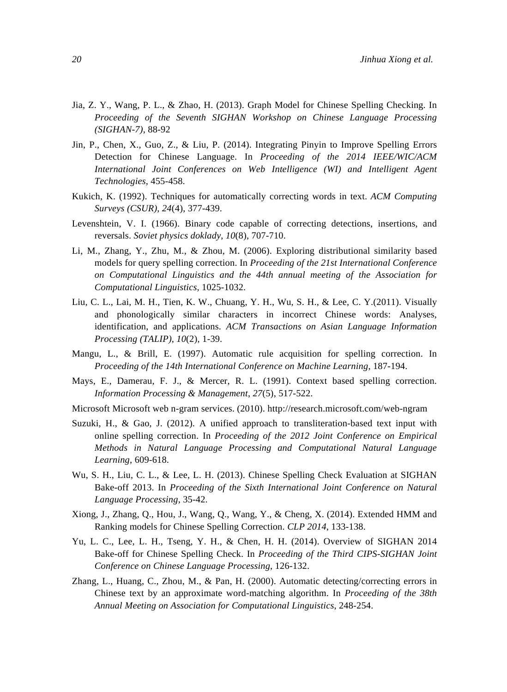- Jia, Z. Y., Wang, P. L., & Zhao, H. (2013). Graph Model for Chinese Spelling Checking. In *Proceeding of the Seventh SIGHAN Workshop on Chinese Language Processing (SIGHAN-7)*, 88-92
- Jin, P., Chen, X., Guo, Z., & Liu, P. (2014). Integrating Pinyin to Improve Spelling Errors Detection for Chinese Language. In *Proceeding of the 2014 IEEE/WIC/ACM International Joint Conferences on Web Intelligence (WI) and Intelligent Agent Technologies*, 455-458.
- Kukich, K. (1992). Techniques for automatically correcting words in text. *ACM Computing Surveys (CSUR)*, *24*(4), 377-439.
- Levenshtein, V. I. (1966). Binary code capable of correcting detections, insertions, and reversals. *Soviet physics doklady*, *10*(8), 707-710.
- Li, M., Zhang, Y., Zhu, M., & Zhou, M. (2006). Exploring distributional similarity based models for query spelling correction. In *Proceeding of the 21st International Conference on Computational Linguistics and the 44th annual meeting of the Association for Computational Linguistics*, 1025-1032.
- Liu, C. L., Lai, M. H., Tien, K. W., Chuang, Y. H., Wu, S. H., & Lee, C. Y.(2011). Visually and phonologically similar characters in incorrect Chinese words: Analyses, identification, and applications. *ACM Transactions on Asian Language Information Processing (TALIP)*, *10*(2), 1-39.
- Mangu, L., & Brill, E. (1997). Automatic rule acquisition for spelling correction. In *Proceeding of the 14th International Conference on Machine Learning*, 187-194.
- Mays, E., Damerau, F. J., & Mercer, R. L. (1991). Context based spelling correction. *Information Processing & Management*, *27*(5), 517-522.
- Microsoft Microsoft web n-gram services. (2010). http://research.microsoft.com/web-ngram
- Suzuki, H., & Gao, J. (2012). A unified approach to transliteration-based text input with online spelling correction. In *Proceeding of the 2012 Joint Conference on Empirical Methods in Natural Language Processing and Computational Natural Language Learning*, 609-618.
- Wu, S. H., Liu, C. L., & Lee, L. H. (2013). Chinese Spelling Check Evaluation at SIGHAN Bake-off 2013. In *Proceeding of the Sixth International Joint Conference on Natural Language Processing*, 35-42.
- Xiong, J., Zhang, Q., Hou, J., Wang, Q., Wang, Y., & Cheng, X. (2014). Extended HMM and Ranking models for Chinese Spelling Correction. *CLP 2014*, 133-138.
- Yu, L. C., Lee, L. H., Tseng, Y. H., & Chen, H. H. (2014). Overview of SIGHAN 2014 Bake-off for Chinese Spelling Check. In *Proceeding of the Third CIPS-SIGHAN Joint Conference on Chinese Language Processing*, 126-132.
- Zhang, L., Huang, C., Zhou, M., & Pan, H. (2000). Automatic detecting/correcting errors in Chinese text by an approximate word-matching algorithm. In *Proceeding of the 38th Annual Meeting on Association for Computational Linguistics*, 248-254.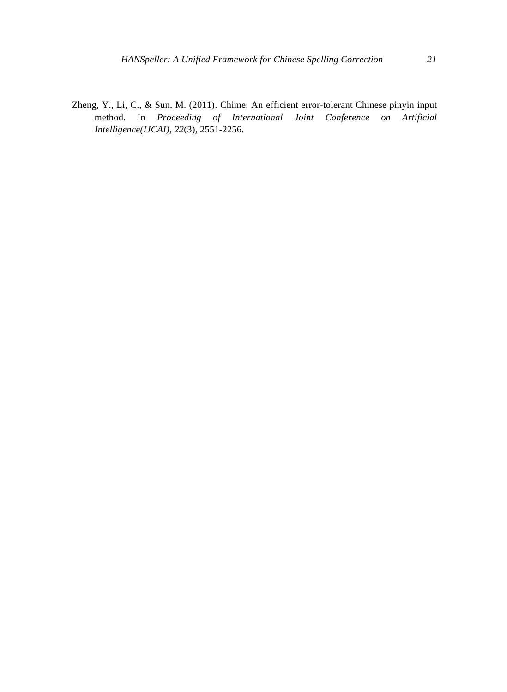Zheng, Y., Li, C., & Sun, M. (2011). Chime: An efficient error-tolerant Chinese pinyin input method. In *Proceeding of International Joint Conference on Artificial Intelligence(IJCAI), 22*(3), 2551-2256.